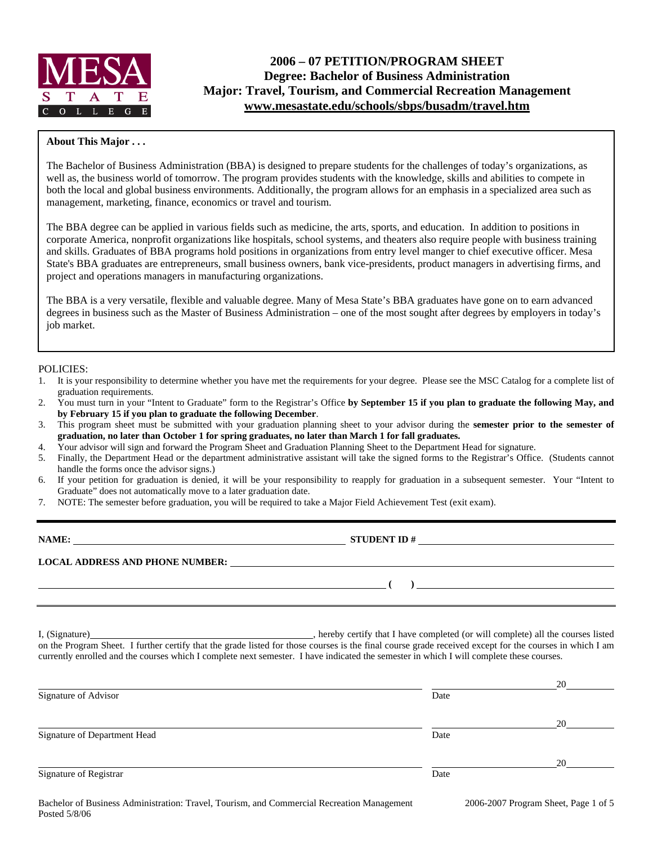

### **About This Major . . .**

The Bachelor of Business Administration (BBA) is designed to prepare students for the challenges of today's organizations, as well as, the business world of tomorrow. The program provides students with the knowledge, skills and abilities to compete in both the local and global business environments. Additionally, the program allows for an emphasis in a specialized area such as management, marketing, finance, economics or travel and tourism.

The BBA degree can be applied in various fields such as medicine, the arts, sports, and education. In addition to positions in corporate America, nonprofit organizations like hospitals, school systems, and theaters also require people with business training and skills. Graduates of BBA programs hold positions in organizations from entry level manger to chief executive officer. Mesa State's BBA graduates are entrepreneurs, small business owners, bank vice-presidents, product managers in advertising firms, and project and operations managers in manufacturing organizations.

The BBA is a very versatile, flexible and valuable degree. Many of Mesa State's BBA graduates have gone on to earn advanced degrees in business such as the Master of Business Administration – one of the most sought after degrees by employers in today's job market.

#### POLICIES:

- 1. It is your responsibility to determine whether you have met the requirements for your degree. Please see the MSC Catalog for a complete list of graduation requirements.
- 2. You must turn in your "Intent to Graduate" form to the Registrar's Office **by September 15 if you plan to graduate the following May, and by February 15 if you plan to graduate the following December**.
- 3. This program sheet must be submitted with your graduation planning sheet to your advisor during the **semester prior to the semester of graduation, no later than October 1 for spring graduates, no later than March 1 for fall graduates.**
- 4. Your advisor will sign and forward the Program Sheet and Graduation Planning Sheet to the Department Head for signature.
- 5. Finally, the Department Head or the department administrative assistant will take the signed forms to the Registrar's Office. (Students cannot handle the forms once the advisor signs.)
- 6. If your petition for graduation is denied, it will be your responsibility to reapply for graduation in a subsequent semester. Your "Intent to Graduate" does not automatically move to a later graduation date.
- 7. NOTE: The semester before graduation, you will be required to take a Major Field Achievement Test (exit exam).

| NAME:                                  | <b>STUDENT ID#</b><br>the contract of the contract of the contract of the contract of the contract of the contract of the contract of |
|----------------------------------------|---------------------------------------------------------------------------------------------------------------------------------------|
| <b>LOCAL ADDRESS AND PHONE NUMBER:</b> | <u> 1989 - John Stein, Amerikaansk konstantiner (* 1989)</u>                                                                          |
|                                        |                                                                                                                                       |

I, (Signature) **Solution** , hereby certify that I have completed (or will complete) all the courses listed on the Program Sheet. I further certify that the grade listed for those courses is the final course grade received except for the courses in which I am currently enrolled and the courses which I complete next semester. I have indicated the semester in which I will complete these courses.

|                              |      | 20 |
|------------------------------|------|----|
| Signature of Advisor         | Date |    |
|                              |      | 20 |
| Signature of Department Head | Date |    |
|                              |      | 20 |
| Signature of Registrar       | Date |    |
|                              |      |    |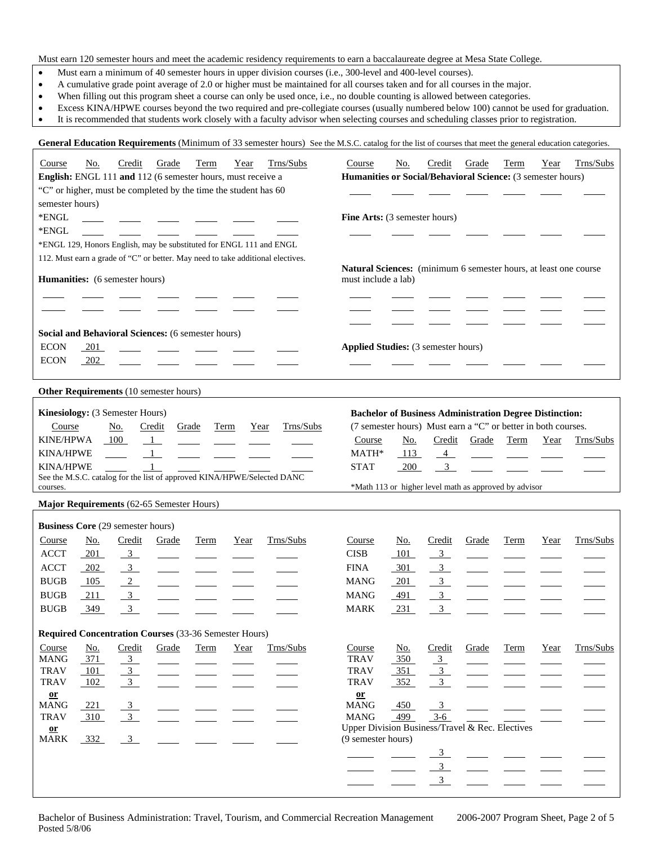Must earn 120 semester hours and meet the academic residency requirements to earn a baccalaureate degree at Mesa State College.

- Must earn a minimum of 40 semester hours in upper division courses (i.e., 300-level and 400-level courses).
- A cumulative grade point average of 2.0 or higher must be maintained for all courses taken and for all courses in the major.
- When filling out this program sheet a course can only be used once, i.e., no double counting is allowed between categories.
- Excess KINA/HPWE courses beyond the two required and pre-collegiate courses (usually numbered below 100) cannot be used for graduation.
- It is recommended that students work closely with a faculty advisor when selecting courses and scheduling classes prior to registration.

General Education Requirements (Minimum of 33 semester hours) See the M.S.C. catalog for the list of courses that meet the general education categories.

| Course                                   | <u>No.</u> | Credit         | Grade                                                           | <b>Term</b> | Year | Trns/Subs                                                                       | Course                                                                | No.        | Credit                           | Grade                                                          | Term        | Year | Trns/Subs |
|------------------------------------------|------------|----------------|-----------------------------------------------------------------|-------------|------|---------------------------------------------------------------------------------|-----------------------------------------------------------------------|------------|----------------------------------|----------------------------------------------------------------|-------------|------|-----------|
|                                          |            |                | English: ENGL 111 and 112 (6 semester hours, must receive a     |             |      |                                                                                 | Humanities or Social/Behavioral Science: (3 semester hours)           |            |                                  |                                                                |             |      |           |
|                                          |            |                | "C" or higher, must be completed by the time the student has 60 |             |      |                                                                                 |                                                                       |            |                                  |                                                                |             |      |           |
| semester hours)                          |            |                |                                                                 |             |      |                                                                                 |                                                                       |            |                                  |                                                                |             |      |           |
| $*$ ENGL                                 |            |                |                                                                 |             |      |                                                                                 | Fine Arts: (3 semester hours)                                         |            |                                  |                                                                |             |      |           |
| *ENGL                                    |            |                |                                                                 |             |      |                                                                                 |                                                                       |            |                                  |                                                                |             |      |           |
|                                          |            |                |                                                                 |             |      | *ENGL 129, Honors English, may be substituted for ENGL 111 and ENGL             |                                                                       |            |                                  |                                                                |             |      |           |
|                                          |            |                |                                                                 |             |      | 112. Must earn a grade of "C" or better. May need to take additional electives. |                                                                       |            |                                  |                                                                |             |      |           |
|                                          |            |                |                                                                 |             |      |                                                                                 | Natural Sciences: (minimum 6 semester hours, at least one course      |            |                                  |                                                                |             |      |           |
| Humanities: (6 semester hours)           |            |                |                                                                 |             |      |                                                                                 | must include a lab)                                                   |            |                                  |                                                                |             |      |           |
|                                          |            |                |                                                                 |             |      |                                                                                 |                                                                       |            |                                  |                                                                |             |      |           |
|                                          |            |                |                                                                 |             |      |                                                                                 |                                                                       |            |                                  |                                                                |             |      |           |
|                                          |            |                |                                                                 |             |      |                                                                                 |                                                                       |            |                                  |                                                                |             |      |           |
|                                          |            |                | Social and Behavioral Sciences: (6 semester hours)              |             |      |                                                                                 |                                                                       |            |                                  |                                                                |             |      |           |
| <b>ECON</b>                              | 201        |                |                                                                 |             |      |                                                                                 | <b>Applied Studies:</b> (3 semester hours)                            |            |                                  |                                                                |             |      |           |
| <b>ECON</b>                              | 202        |                |                                                                 |             |      |                                                                                 |                                                                       |            |                                  |                                                                |             |      |           |
|                                          |            |                |                                                                 |             |      |                                                                                 |                                                                       |            |                                  |                                                                |             |      |           |
|                                          |            |                |                                                                 |             |      |                                                                                 |                                                                       |            |                                  |                                                                |             |      |           |
|                                          |            |                | Other Requirements (10 semester hours)                          |             |      |                                                                                 |                                                                       |            |                                  |                                                                |             |      |           |
| Kinesiology: (3 Semester Hours)          |            |                |                                                                 |             |      |                                                                                 |                                                                       |            |                                  | <b>Bachelor of Business Administration Degree Distinction:</b> |             |      |           |
| Course                                   |            | No.            | Credit                                                          | Grade       | Term | Trns/Subs<br>Year                                                               |                                                                       |            |                                  | (7 semester hours) Must earn a "C" or better in both courses.  |             |      |           |
| <b>KINE/HPWA</b>                         |            | 100            | $\overline{1}$                                                  |             |      |                                                                                 | Course                                                                | <u>No.</u> | Credit                           | Grade                                                          | Term        | Year | Trns/Subs |
| <b>KINA/HPWE</b>                         |            |                | $\overline{1}$                                                  |             |      |                                                                                 | MATH*                                                                 | 113        | $\overline{4}$                   |                                                                |             |      |           |
| <b>KINA/HPWE</b>                         |            |                | $\mathbf{1}$                                                    |             |      |                                                                                 | <b>STAT</b>                                                           | 200        | 3 <sup>7</sup>                   |                                                                |             |      |           |
|                                          |            |                |                                                                 |             |      | See the M.S.C. catalog for the list of approved KINA/HPWE/Selected DANC         |                                                                       |            |                                  |                                                                |             |      |           |
|                                          |            |                |                                                                 |             |      |                                                                                 |                                                                       |            |                                  |                                                                |             |      |           |
| courses.                                 |            |                |                                                                 |             |      |                                                                                 |                                                                       |            |                                  | *Math 113 or higher level math as approved by advisor          |             |      |           |
|                                          |            |                | Major Requirements (62-65 Semester Hours)                       |             |      |                                                                                 |                                                                       |            |                                  |                                                                |             |      |           |
|                                          |            |                |                                                                 |             |      |                                                                                 |                                                                       |            |                                  |                                                                |             |      |           |
| <b>Business Core (29 semester hours)</b> |            |                |                                                                 |             |      |                                                                                 |                                                                       |            |                                  |                                                                |             |      |           |
| Course                                   | No.        | Credit         | Grade                                                           | Term        | Year | Trns/Subs                                                                       | Course                                                                | No.        | Credit                           | Grade                                                          | Term        | Year | Trns/Subs |
| <b>ACCT</b>                              | 201        | $\frac{3}{2}$  |                                                                 |             |      |                                                                                 | <b>CISB</b>                                                           | 101        | $\overline{3}$                   |                                                                |             |      |           |
| <b>ACCT</b>                              | 202        | $\overline{3}$ |                                                                 |             |      |                                                                                 | <b>FINA</b>                                                           | 301        | 3                                |                                                                |             |      |           |
| <b>BUGB</b>                              | 105        | $\overline{2}$ |                                                                 |             |      |                                                                                 | <b>MANG</b>                                                           | 201        | $\overline{3}$                   |                                                                |             |      |           |
| <b>BUGB</b>                              | 211        | $\overline{3}$ |                                                                 |             |      |                                                                                 | <b>MANG</b>                                                           | 491        | 3 <sup>7</sup>                   |                                                                |             |      |           |
| <b>BUGB</b>                              | 349        | $\mathfrak{Z}$ |                                                                 |             |      |                                                                                 | <b>MARK</b>                                                           | 231        | 3 <sup>7</sup>                   |                                                                |             |      |           |
|                                          |            |                |                                                                 |             |      |                                                                                 |                                                                       |            |                                  |                                                                |             |      |           |
|                                          |            |                | Required Concentration Courses (33-36 Semester Hours)           |             |      |                                                                                 |                                                                       |            |                                  |                                                                |             |      |           |
| Course                                   | <u>No.</u> | Credit         | Grade                                                           | Term        | Year | Trns/Subs                                                                       | Course                                                                | No.        | Credit                           | Grade                                                          | <b>Term</b> | Year | Trns/Subs |
| <b>MANG</b>                              | 371        | $\overline{3}$ |                                                                 |             |      |                                                                                 | <b>TRAV</b>                                                           | 350        | $\frac{3}{2}$                    |                                                                |             |      |           |
| <b>TRAV</b>                              | 101        | $\overline{3}$ |                                                                 |             |      |                                                                                 | <b>TRAV</b>                                                           | 351        | $\mathbf{3}$                     |                                                                |             |      |           |
| <b>TRAV</b>                              | 102        | $\overline{3}$ |                                                                 |             |      |                                                                                 | <b>TRAV</b>                                                           | 352        | $\overline{3}$                   |                                                                |             |      |           |
| $\underline{\mathbf{or}}$                |            |                |                                                                 |             |      |                                                                                 | $\underline{\mathbf{or}}$                                             |            |                                  |                                                                |             |      |           |
| <b>MANG</b>                              | 221        | $\overline{3}$ |                                                                 |             |      |                                                                                 | <b>MANG</b>                                                           | 450        | 3                                |                                                                |             |      |           |
| <b>TRAV</b>                              | 310        | $\overline{3}$ |                                                                 |             |      |                                                                                 | <b>MANG</b>                                                           | 499        | $3-6$                            |                                                                |             |      |           |
| $or$                                     |            |                |                                                                 |             |      |                                                                                 | Upper Division Business/Travel & Rec. Electives<br>(9 semester hours) |            |                                  |                                                                |             |      |           |
| <b>MARK</b>                              | 332        | $\overline{3}$ |                                                                 |             |      |                                                                                 |                                                                       |            |                                  |                                                                |             |      |           |
|                                          |            |                |                                                                 |             |      |                                                                                 |                                                                       |            | $\overline{3}$                   |                                                                |             |      |           |
|                                          |            |                |                                                                 |             |      |                                                                                 |                                                                       |            | 3 <sup>7</sup><br>$\mathfrak{Z}$ |                                                                |             |      |           |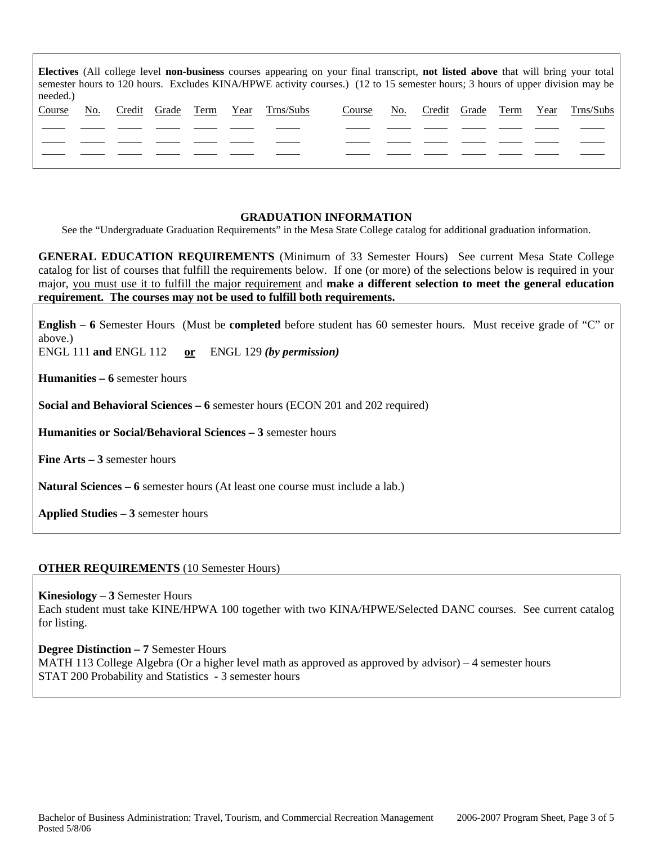| Electives (All college level non-business courses appearing on your final transcript, not listed above that will bring your total<br>semester hours to 120 hours. Excludes KINA/HPWE activity courses.) (12 to 15 semester hours; 3 hours of upper division may be<br>needed.) |     |  |                   |  |      |           |        |     |                   |      |           |
|--------------------------------------------------------------------------------------------------------------------------------------------------------------------------------------------------------------------------------------------------------------------------------|-----|--|-------------------|--|------|-----------|--------|-----|-------------------|------|-----------|
| Course                                                                                                                                                                                                                                                                         | No. |  | Credit Grade Term |  | Year | Trns/Subs | Course | No. | Credit Grade Term | Year | Trns/Subs |
|                                                                                                                                                                                                                                                                                |     |  |                   |  |      |           |        |     |                   |      |           |
|                                                                                                                                                                                                                                                                                |     |  |                   |  |      |           |        |     |                   |      |           |
|                                                                                                                                                                                                                                                                                |     |  |                   |  |      |           |        |     |                   |      |           |
|                                                                                                                                                                                                                                                                                |     |  |                   |  |      |           |        |     |                   |      |           |

### **GRADUATION INFORMATION**

See the "Undergraduate Graduation Requirements" in the Mesa State College catalog for additional graduation information.

**GENERAL EDUCATION REQUIREMENTS** (Minimum of 33 Semester Hours) See current Mesa State College catalog for list of courses that fulfill the requirements below. If one (or more) of the selections below is required in your major, you must use it to fulfill the major requirement and **make a different selection to meet the general education requirement. The courses may not be used to fulfill both requirements.**

**English – 6** Semester Hours (Must be **completed** before student has 60 semester hours. Must receive grade of "C" or above.)

ENGL 111 **and** ENGL 112 **or** ENGL 129 *(by permission)*

**Humanities – 6** semester hours

**Social and Behavioral Sciences – 6** semester hours (ECON 201 and 202 required)

**Humanities or Social/Behavioral Sciences – 3** semester hours

**Fine Arts – 3** semester hours

**Natural Sciences – 6** semester hours (At least one course must include a lab.)

**Applied Studies – 3** semester hours

### **OTHER REQUIREMENTS** (10 Semester Hours)

**Kinesiology – 3** Semester Hours

Each student must take KINE/HPWA 100 together with two KINA/HPWE/Selected DANC courses. See current catalog for listing.

**Degree Distinction – 7** Semester Hours MATH 113 College Algebra (Or a higher level math as approved as approved by advisor) – 4 semester hours STAT 200 Probability and Statistics - 3 semester hours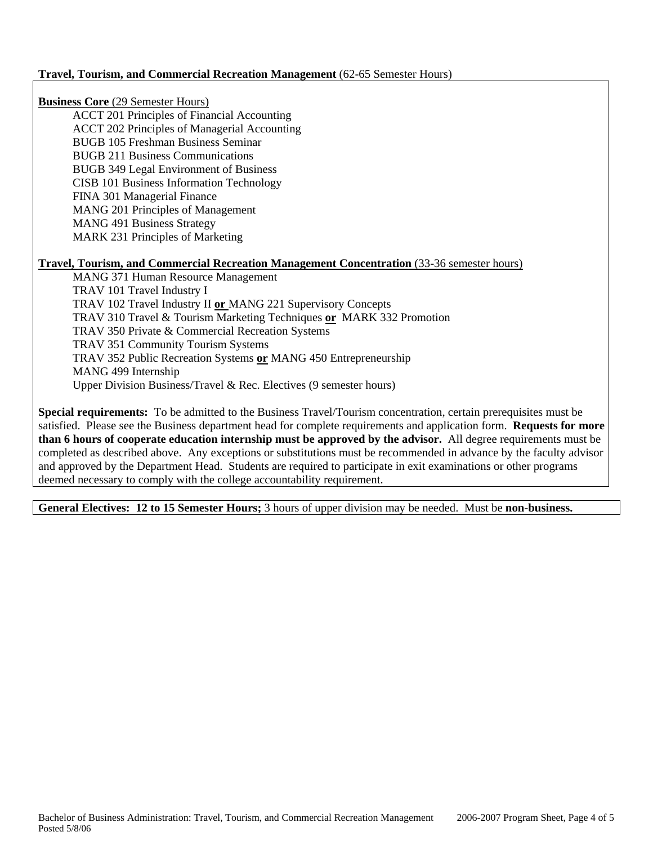## **Travel, Tourism, and Commercial Recreation Management** (62-65 Semester Hours)

**Business Core** (29 Semester Hours)

ACCT 201 Principles of Financial Accounting ACCT 202 Principles of Managerial Accounting BUGB 105 Freshman Business Seminar BUGB 211 Business Communications BUGB 349 Legal Environment of Business CISB 101 Business Information Technology FINA 301 Managerial Finance MANG 201 Principles of Management MANG 491 Business Strategy MARK 231 Principles of Marketing

## **Travel, Tourism, and Commercial Recreation Management Concentration** (33-36 semester hours)

MANG 371 Human Resource Management TRAV 101 Travel Industry I TRAV 102 Travel Industry II **or** MANG 221 Supervisory Concepts TRAV 310 Travel & Tourism Marketing Techniques **or** MARK 332 Promotion TRAV 350 Private & Commercial Recreation Systems TRAV 351 Community Tourism Systems TRAV 352 Public Recreation Systems **or** MANG 450 Entrepreneurship MANG 499 Internship Upper Division Business/Travel & Rec. Electives (9 semester hours)

**Special requirements:** To be admitted to the Business Travel/Tourism concentration, certain prerequisites must be satisfied. Please see the Business department head for complete requirements and application form. **Requests for more than 6 hours of cooperate education internship must be approved by the advisor.** All degree requirements must be completed as described above. Any exceptions or substitutions must be recommended in advance by the faculty advisor and approved by the Department Head. Students are required to participate in exit examinations or other programs deemed necessary to comply with the college accountability requirement.

**General Electives: 12 to 15 Semester Hours;** 3 hours of upper division may be needed. Must be **non-business.**